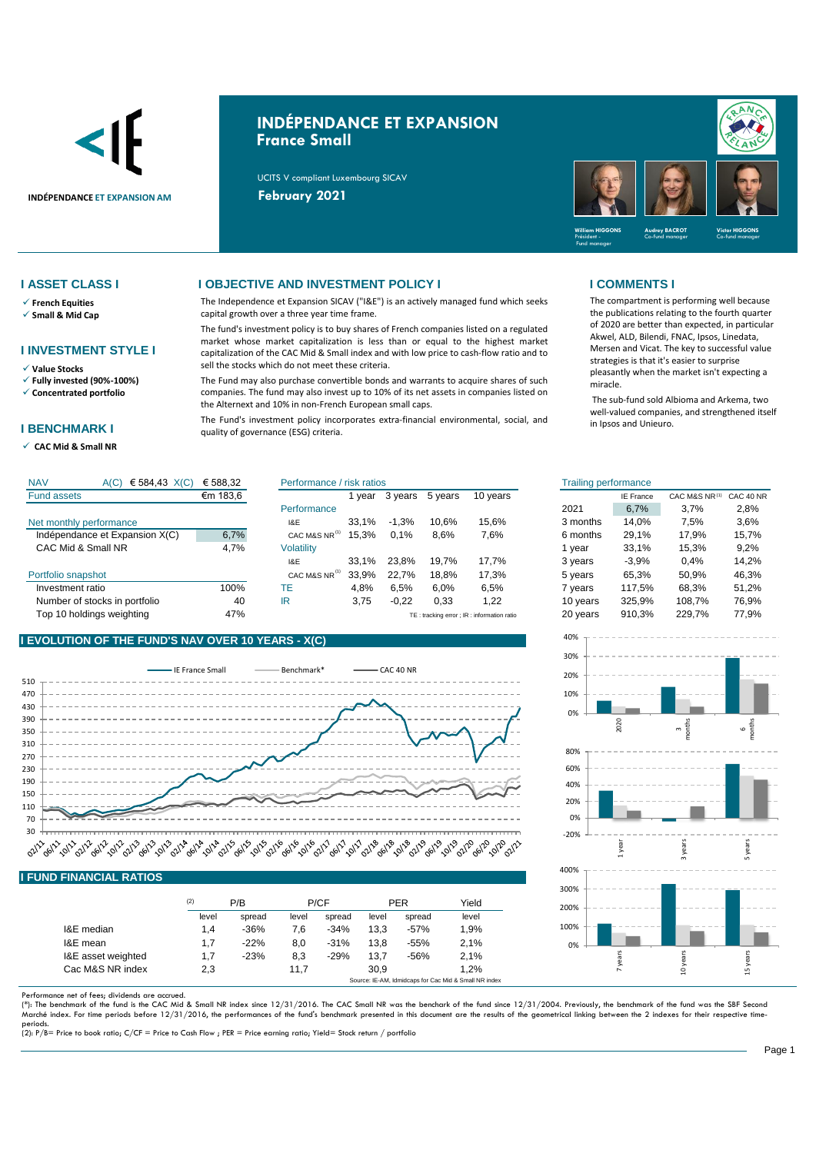

# **INDÉPENDANCE ET EXPANSION France Small**

UCITS V compliant Luxembourg SICAV



- ✓ **French Equities**
- ✓ **Small & Mid Cap**

### **I INVESTMENT STYLE I**

- ✓ **Value Stocks**
- ✓ **Fully invested (90%-100%)** ✓ **Concentrated portfolio**
- 

### **I BENCHMARK I**

✓ **CAC Mid & Small NR** 

### **I ASSET CLASS I I OBJECTIVE AND INVESTMENT POLICY I I COMMENTS I**

The Independence et Expansion SICAV ("I&E") is an actively managed fund which seeks capital growth over a three year time frame.

The fund's investment policy is to buy shares of French companies listed on a regulated market whose market capitalization is less than or equal to the highest market capitalization of the CAC Mid & Small index and with low price to cash-flow ratio and to sell the stocks which do not meet these criteria.

The Fund may also purchase convertible bonds and warrants to acquire shares of such companies. The fund may also invest up to 10% of its net assets in companies listed on the Alternext and 10% in non-French European small caps.

The Fund's investment policy incorporates extra-financial environmental, social, and quality of governance (ESG) criteria.

The compartment is performing well because the publications relating to the fourth quarter of 2020 are better than expected, in particular Akwel, ALD, Bilendi, FNAC, Ipsos, Linedata, Mersen and Vicat. The key to successful value strategies is that it's easier to surprise pleasantly when the market isn't expecting a miracle.

The sub-fund sold Albioma and Arkema, two well-valued companies, and strengthened itself in Ipsos and Unieuro.

| <b>NAV</b><br>€ 584,43 $X(C)$<br>A(C) | € 588,32 | Performance / risk ratios |       |         |         |                                             | <b>Frailing performance</b> |                  |               |           |
|---------------------------------------|----------|---------------------------|-------|---------|---------|---------------------------------------------|-----------------------------|------------------|---------------|-----------|
| <b>Fund assets</b>                    | €m 183,6 |                           | vear  | 3 years | 5 years | 10 years                                    |                             | <b>IE France</b> | CAC M&S NR(1) | CAC 40 NR |
|                                       |          | Performance               |       |         |         |                                             | 2021                        | 6.7%             | 3.7%          | 2,8%      |
| Net monthly performance               |          | 1&E                       | 33.1% | $-1.3%$ | 10.6%   | 15.6%                                       | 3 months                    | 14.0%            | 7,5%          | 3,6%      |
| Indépendance et Expansion X(C)        | 6,7%     | CAC M&S NR <sup>(1)</sup> | 15.3% | 0.1%    | 8.6%    | 7,6%                                        | 6 months                    | 29.1%            | 17.9%         | 15,7%     |
| CAC Mid & Small NR                    | 4,7%     | Volatility                |       |         |         |                                             | vear                        | 33.1%            | 15.3%         | 9,2%      |
|                                       |          | I&E                       | 33.1% | 23.8%   | 19.7%   | 17.7%                                       | 3 years                     | $-3.9%$          | 0.4%          | 14,2%     |
| Portfolio snapshot                    |          | CAC M&S NR <sup>(1)</sup> | 33.9% | 22.7%   | 18.8%   | 17.3%                                       | 5 years                     | 65,3%            | 50,9%         | 46,3%     |
| Investment ratio                      | 100%     | ТE                        | 4.8%  | 6.5%    | 6.0%    | 6.5%                                        | vears                       | 117.5%           | 68.3%         | 51.2%     |
| Number of stocks in portfolio         | 40       | IR                        | 3,75  | $-0,22$ | 0,33    | .22                                         | 10 years                    | 325,9%           | 108.7%        | 76,9%     |
| Top 10 holdings weighting             | 47%      |                           |       |         |         | TE: tracking error : IR : information ratio | 20 years                    | 910,3%           | 229.7%        | 77.9%     |

## **I EVOLUTION OF THE FUND'S NAV OVER 10 YEARS - X(C)**



|                    | (2)   | P/B    |       | P/CF   |       | <b>PER</b> | Yield |
|--------------------|-------|--------|-------|--------|-------|------------|-------|
|                    | level | spread | level | spread | level | spread     | level |
| I&E median         | 1.4   | $-36%$ | 7,6   | $-34%$ | 13.3  | $-57%$     | 1.9%  |
| I&E mean           | 1.7   | $-22%$ | 8,0   | $-31%$ | 13.8  | $-55%$     | 2.1%  |
| I&E asset weighted | 1.7   | $-23%$ | 8,3   | $-29%$ | 13.7  | $-56%$     | 2,1%  |
| Cac M&S NR index   | 2,3   |        | 11,7  |        | 30.9  |            | 1.2%  |

Performance net of fees; dividends are accrued.<br>(\*): The benchmark of the fund is the CAC Mid & Small NR index since 12/31/2016. The CAC Small NR was the benchark of the fund since 12/31/2004. Previously, the benchmark of Marché index. For time periods before 12/31/2016, the performances of the fund's benchmark presented in this document are the results of the geometrical linking between the 2 indexes for their respective time-

periods. (2): P/B= Price to book ratio; C/CF = Price to Cash Flow ; PER = Price earning ratio; Yield= Stock return / portfolio

| isk ratios |         |         |                                            | <b>Trailing performance</b> |                  |               |           |
|------------|---------|---------|--------------------------------------------|-----------------------------|------------------|---------------|-----------|
| 1 year     | 3 years | 5 years | 10 years                                   |                             | <b>IE France</b> | CAC M&S NR(1) | CAC 40 NR |
|            |         |         |                                            | 2021                        | 6.7%             | 3.7%          | 2.8%      |
| 33,1%      | $-1,3%$ | 10.6%   | 15,6%                                      | 3 months                    | 14.0%            | 7.5%          | 3.6%      |
| 15,3%      | 0.1%    | 8,6%    | 7,6%                                       | 6 months                    | 29,1%            | 17,9%         | 15,7%     |
|            |         |         |                                            | 1 year                      | 33.1%            | 15,3%         | 9.2%      |
| 33,1%      | 23,8%   | 19,7%   | 17,7%                                      | 3 years                     | $-3.9%$          | 0.4%          | 14,2%     |
| 33,9%      | 22,7%   | 18,8%   | 17,3%                                      | 5 years                     | 65,3%            | 50,9%         | 46,3%     |
| 4,8%       | 6,5%    | 6.0%    | 6.5%                                       | 7 years                     | 117.5%           | 68.3%         | 51,2%     |
| 3,75       | $-0,22$ | 0,33    | 1,22                                       | 10 years                    | 325,9%           | 108,7%        | 76,9%     |
|            |         |         | TE: tracking error ; IR: information ratio | 20 years                    | 910,3%           | 229,7%        | 77,9%     |